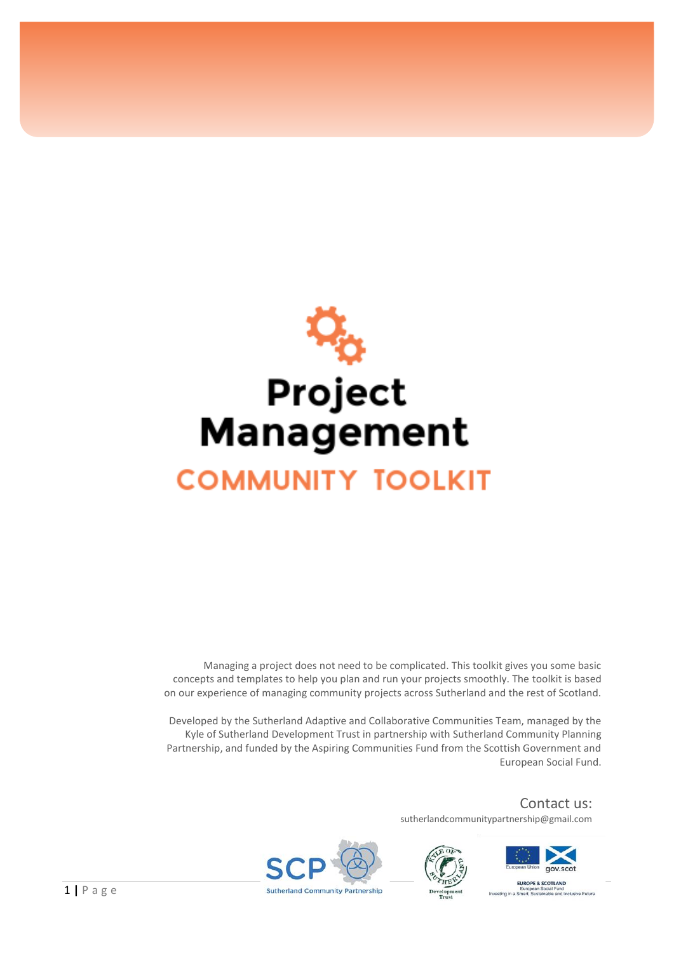

Managing a project does not need to be complicated. This toolkit gives you some basic concepts and templates to help you plan and run your projects smoothly. The toolkit is based on our experience of managing community projects across Sutherland and the rest of Scotland.

Developed by the Sutherland Adaptive and Collaborative Communities Team, managed by the Kyle of Sutherland Development Trust in partnership with Sutherland Community Planning Partnership, and funded by the Aspiring Communities Fund from the Scottish Government and European Social Fund.

> Contact us: sutherlandcommunitypartnership@gmail.com





EUROPE & SCOTLAND aropean Social Ford<br>art. Sustainable and Inclusive Future



1 **|** P a g e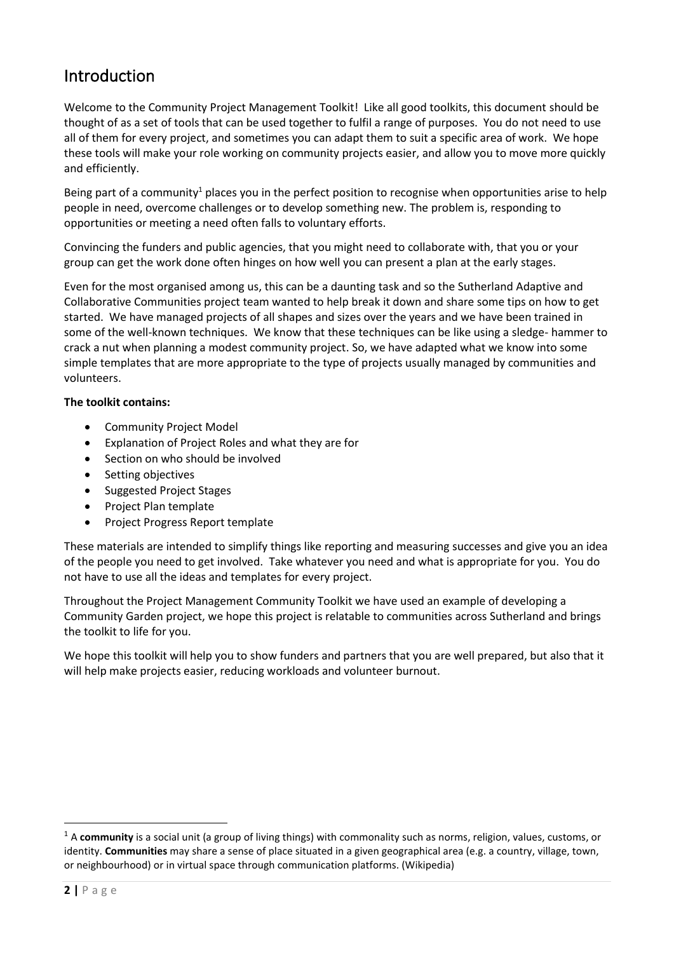## Introduction

Welcome to the Community Project Management Toolkit! Like all good toolkits, this document should be thought of as a set of tools that can be used together to fulfil a range of purposes. You do not need to use all of them for every project, and sometimes you can adapt them to suit a specific area of work. We hope these tools will make your role working on community projects easier, and allow you to move more quickly and efficiently.

Being part of a community<sup>1</sup> places you in the perfect position to recognise when opportunities arise to help people in need, overcome challenges or to develop something new. The problem is, responding to opportunities or meeting a need often falls to voluntary efforts.

Convincing the funders and public agencies, that you might need to collaborate with, that you or your group can get the work done often hinges on how well you can present a plan at the early stages.

Even for the most organised among us, this can be a daunting task and so the Sutherland Adaptive and Collaborative Communities project team wanted to help break it down and share some tips on how to get started. We have managed projects of all shapes and sizes over the years and we have been trained in some of the well-known techniques. We know that these techniques can be like using a sledge- hammer to crack a nut when planning a modest community project. So, we have adapted what we know into some simple templates that are more appropriate to the type of projects usually managed by communities and volunteers.

#### **The toolkit contains:**

- Community Project Model
- Explanation of Project Roles and what they are for
- Section on who should be involved
- Setting objectives
- Suggested Project Stages
- Project Plan template
- Project Progress Report template

These materials are intended to simplify things like reporting and measuring successes and give you an idea of the people you need to get involved. Take whatever you need and what is appropriate for you. You do not have to use all the ideas and templates for every project.

Throughout the Project Management Community Toolkit we have used an example of developing a Community Garden project, we hope this project is relatable to communities across Sutherland and brings the toolkit to life for you.

We hope this toolkit will help you to show funders and partners that you are well prepared, but also that it will help make projects easier, reducing workloads and volunteer burnout.

<sup>&</sup>lt;sup>1</sup> A community is a social unit (a group of living things) with commonality such as norms, religion, values, customs, or identity. **Communities** may share a sense of place situated in a given geographical area (e.g. a country, village, town, or neighbourhood) or in virtual space through communication platforms. (Wikipedia)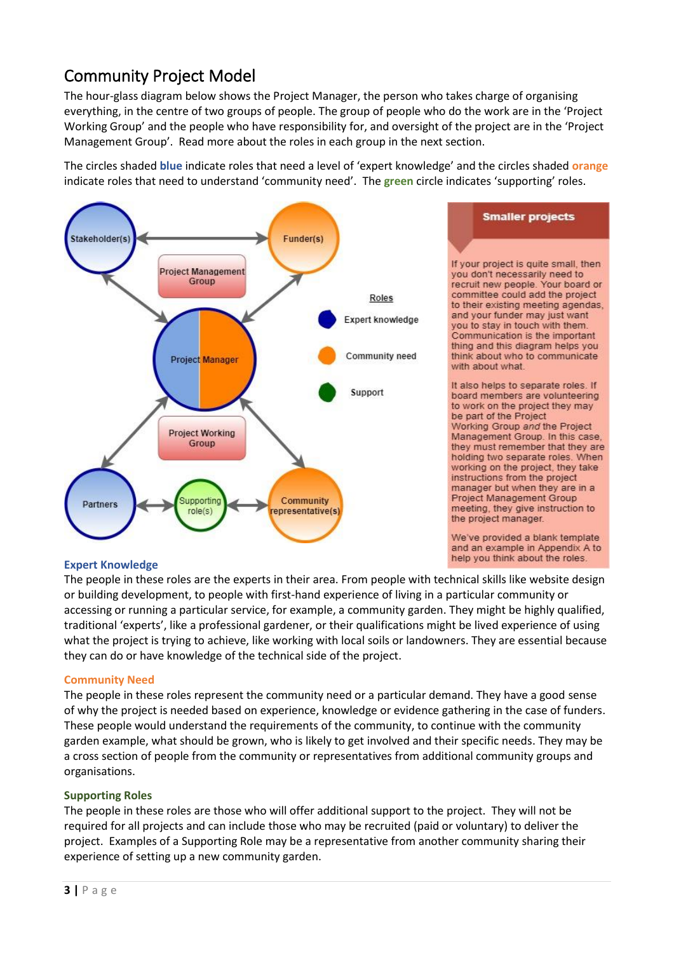# Community Project Model

The hour-glass diagram below shows the Project Manager, the person who takes charge of organising everything, in the centre of two groups of people. The group of people who do the work are in the 'Project Working Group' and the people who have responsibility for, and oversight of the project are in the 'Project Management Group'. Read more about the roles in each group in the next section.

The circles shaded **blue** indicate roles that need a level of 'expert knowledge' and the circles shaded **orange** indicate roles that need to understand 'community need'. The **green** circle indicates 'supporting' roles.



#### **Expert Knowledge**

The people in these roles are the experts in their area. From people with technical skills like website design or building development, to people with first-hand experience of living in a particular community or accessing or running a particular service, for example, a community garden. They might be highly qualified, traditional 'experts', like a professional gardener, or their qualifications might be lived experience of using what the project is trying to achieve, like working with local soils or landowners. They are essential because they can do or have knowledge of the technical side of the project.

#### **Community Need**

The people in these roles represent the community need or a particular demand. They have a good sense of why the project is needed based on experience, knowledge or evidence gathering in the case of funders. These people would understand the requirements of the community, to continue with the community garden example, what should be grown, who is likely to get involved and their specific needs. They may be a cross section of people from the community or representatives from additional community groups and organisations.

#### **Supporting Roles**

The people in these roles are those who will offer additional support to the project. They will not be required for all projects and can include those who may be recruited (paid or voluntary) to deliver the project. Examples of a Supporting Role may be a representative from another community sharing their experience of setting up a new community garden.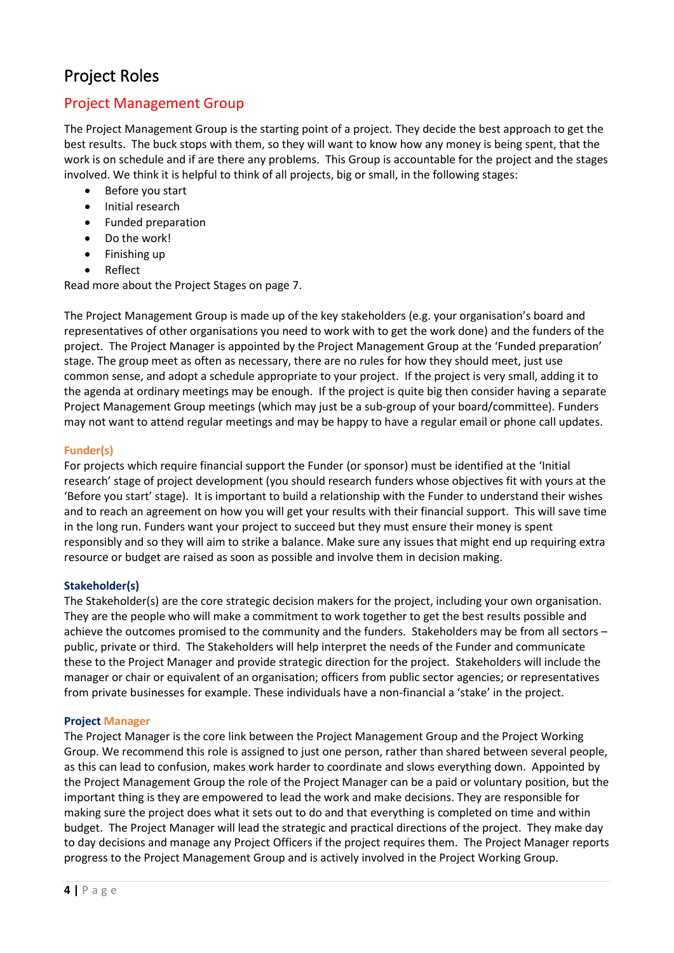## Project Roles

### Project Management Group

The Project Management Group is the starting point of a project. They decide the best approach to get the best results. The buck stops with them, so they will want to know how any money is being spent, that the work is on schedule and if are there any problems. This Group is accountable for the project and the stages involved. We think it is helpful to think of all projects, big or small, in the following stages:

- Before you start
- Initial research
- Funded preparation
- Do the work!
- Finishing up
- Reflect

Read more about the Project Stages on page [7.](#page-6-0)

The Project Management Group is made up of the key stakeholders (e.g. your organisation's board and representatives of other organisations you need to work with to get the work done) and the funders of the project. The Project Manager is appointed by the Project Management Group at the 'Funded preparation' stage. The group meet as often as necessary, there are no rules for how they should meet, just use common sense, and adopt a schedule appropriate to your project. If the project is very small, adding it to the agenda at ordinary meetings may be enough. If the project is quite big then consider having a separate Project Management Group meetings (which may just be a sub-group of your board/committee). Funders may not want to attend regular meetings and may be happy to have a regular email or phone call updates.

#### **Funder(s)**

For projects which require financial support the Funder (or sponsor) must be identified at the 'Initial research' stage of project development (you should research funders whose objectives fit with yours at the 'Before you start' stage). It is important to build a relationship with the Funder to understand their wishes and to reach an agreement on how you will get your results with their financial support. This will save time in the long run. Funders want your project to succeed but they must ensure their money is spent responsibly and so they will aim to strike a balance. Make sure any issues that might end up requiring extra resource or budget are raised as soon as possible and involve them in decision making.

#### **Stakeholder(s)**

The Stakeholder(s) are the core strategic decision makers for the project, including your own organisation. They are the people who will make a commitment to work together to get the best results possible and achieve the outcomes promised to the community and the funders. Stakeholders may be from all sectors – public, private or third. The Stakeholders will help interpret the needs of the Funder and communicate these to the Project Manager and provide strategic direction for the project. Stakeholders will include the manager or chair or equivalent of an organisation; officers from public sector agencies; or representatives from private businesses for example. These individuals have a non-financial a 'stake' in the project.

#### **Project Manager**

The Project Manager is the core link between the Project Management Group and the Project Working Group. We recommend this role is assigned to just one person, rather than shared between several people, as this can lead to confusion, makes work harder to coordinate and slows everything down. Appointed by the Project Management Group the role of the Project Manager can be a paid or voluntary position, but the important thing is they are empowered to lead the work and make decisions. They are responsible for making sure the project does what it sets out to do and that everything is completed on time and within budget. The Project Manager will lead the strategic and practical directions of the project. They make day to day decisions and manage any Project Officers if the project requires them. The Project Manager reports progress to the Project Management Group and is actively involved in the Project Working Group.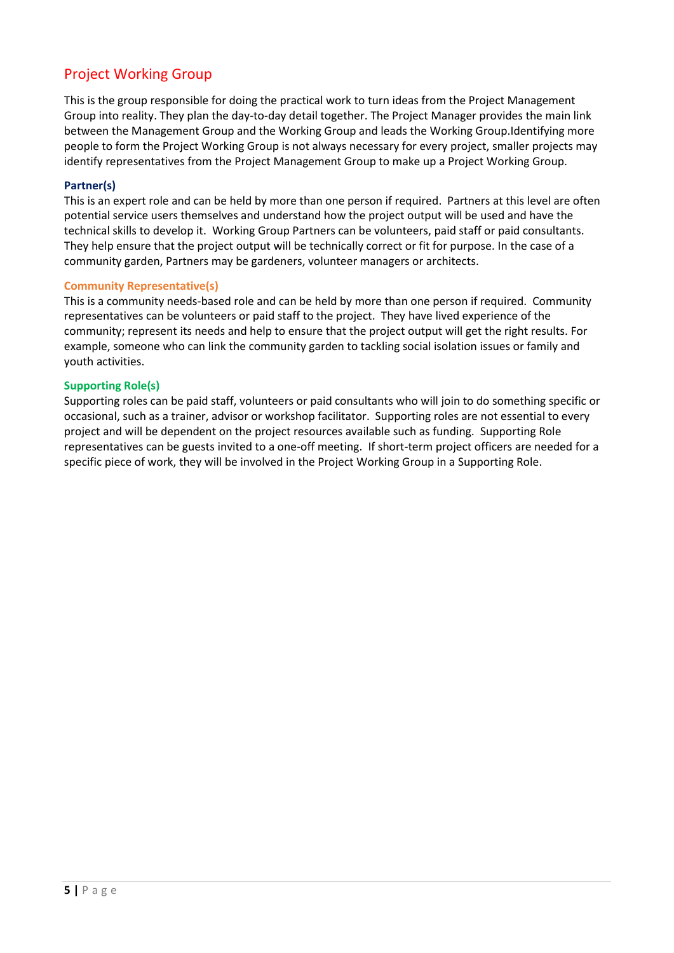## Project Working Group

This is the group responsible for doing the practical work to turn ideas from the Project Management Group into reality. They plan the day-to-day detail together. The Project Manager provides the main link between the Management Group and the Working Group and leads the Working Group.Identifying more people to form the Project Working Group is not always necessary for every project, smaller projects may identify representatives from the Project Management Group to make up a Project Working Group.

#### **Partner(s)**

This is an expert role and can be held by more than one person if required. Partners at this level are often potential service users themselves and understand how the project output will be used and have the technical skills to develop it. Working Group Partners can be volunteers, paid staff or paid consultants. They help ensure that the project output will be technically correct or fit for purpose. In the case of a community garden, Partners may be gardeners, volunteer managers or architects.

#### **Community Representative(s)**

This is a community needs-based role and can be held by more than one person if required. Community representatives can be volunteers or paid staff to the project. They have lived experience of the community; represent its needs and help to ensure that the project output will get the right results. For example, someone who can link the community garden to tackling social isolation issues or family and youth activities.

#### **Supporting Role(s)**

Supporting roles can be paid staff, volunteers or paid consultants who will join to do something specific or occasional, such as a trainer, advisor or workshop facilitator. Supporting roles are not essential to every project and will be dependent on the project resources available such as funding. Supporting Role representatives can be guests invited to a one-off meeting. If short-term project officers are needed for a specific piece of work, they will be involved in the Project Working Group in a Supporting Role.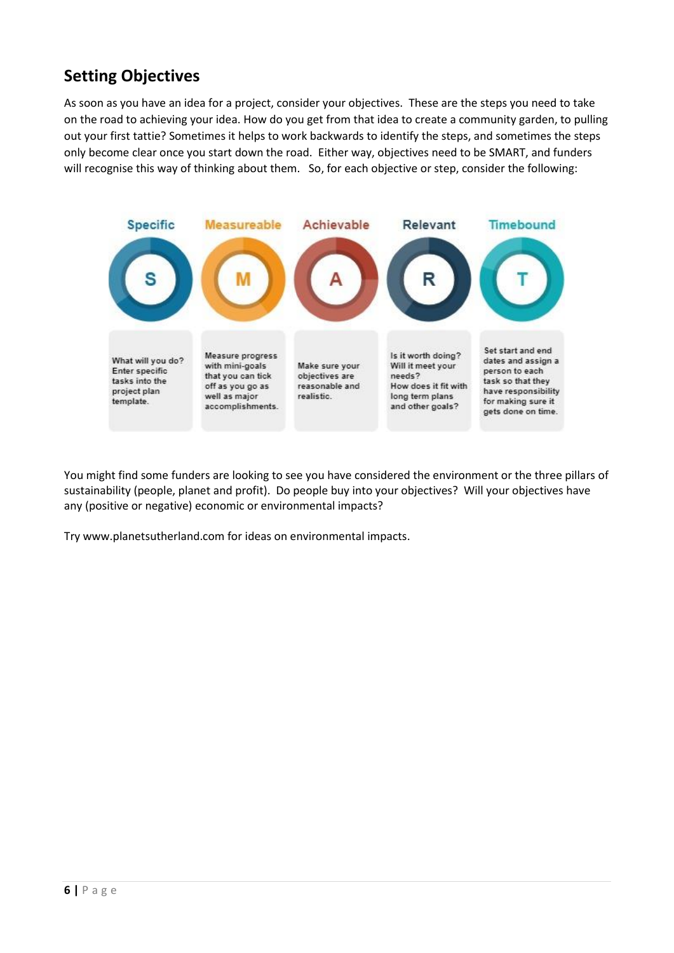## <span id="page-5-0"></span>**Setting Objectives**

As soon as you have an idea for a project, consider your objectives. These are the steps you need to take on the road to achieving your idea. How do you get from that idea to create a community garden, to pulling out your first tattie? Sometimes it helps to work backwards to identify the steps, and sometimes the steps only become clear once you start down the road. Either way, objectives need to be SMART, and funders will recognise this way of thinking about them. So, for each objective or step, consider the following:



You might find some funders are looking to see you have considered the environment or the three pillars of sustainability (people, planet and profit). Do people buy into your objectives? Will your objectives have any (positive or negative) economic or environmental impacts?

Try [www.planetsutherland.com](http://www.planetsutherland.com/) for ideas on environmental impacts.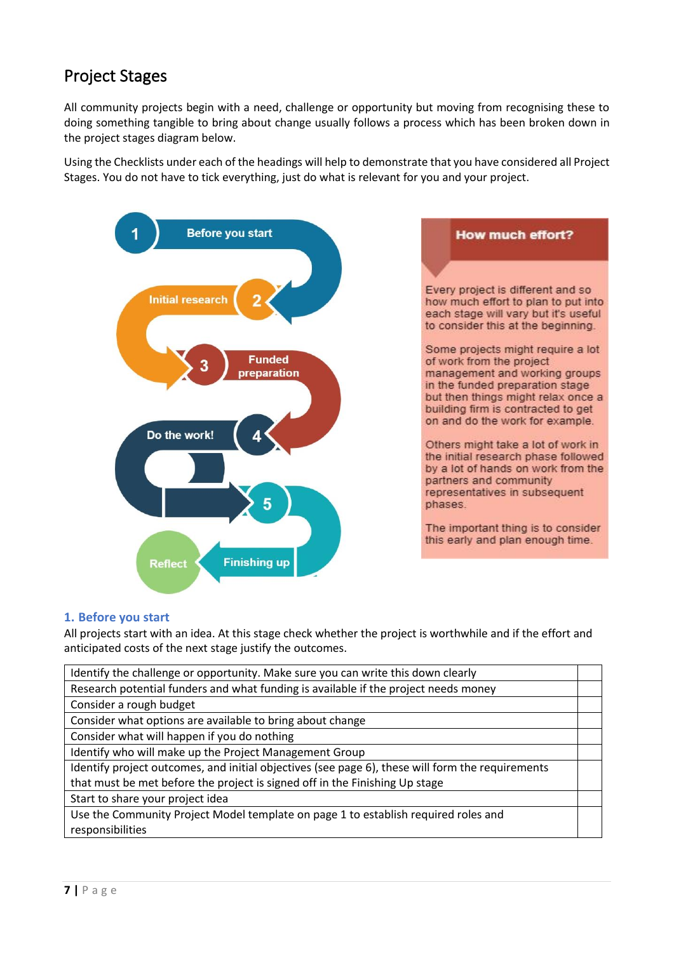## <span id="page-6-0"></span>Project Stages

All community projects begin with a need, challenge or opportunity but moving from recognising these to doing something tangible to bring about change usually follows a process which has been broken down in the project stages diagram below.

Using the Checklists under each of the headings will help to demonstrate that you have considered all Project Stages. You do not have to tick everything, just do what is relevant for you and your project.



#### **1. Before you start**

All projects start with an idea. At this stage check whether the project is worthwhile and if the effort and anticipated costs of the next stage justify the outcomes.

| Identify the challenge or opportunity. Make sure you can write this down clearly                 |  |
|--------------------------------------------------------------------------------------------------|--|
| Research potential funders and what funding is available if the project needs money              |  |
| Consider a rough budget                                                                          |  |
| Consider what options are available to bring about change                                        |  |
| Consider what will happen if you do nothing                                                      |  |
| Identify who will make up the Project Management Group                                           |  |
| Identify project outcomes, and initial objectives (see page 6), these will form the requirements |  |
| that must be met before the project is signed off in the Finishing Up stage                      |  |
| Start to share your project idea                                                                 |  |
| Use the Community Project Model template on page 1 to establish required roles and               |  |
| responsibilities                                                                                 |  |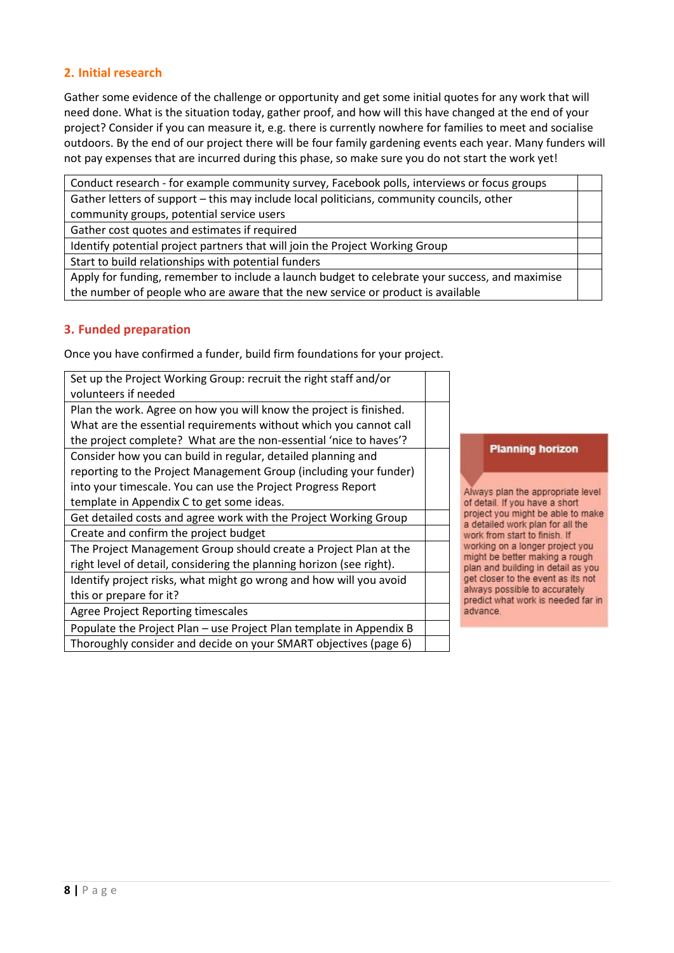#### **2. Initial research**

Gather some evidence of the challenge or opportunity and get some initial quotes for any work that will need done. What is the situation today, gather proof, and how will this have changed at the end of your project? Consider if you can measure it, e.g. there is currently nowhere for families to meet and socialise outdoors. By the end of our project there will be four family gardening events each year. Many funders will not pay expenses that are incurred during this phase, so make sure you do not start the work yet!

Conduct research - for example community survey, Facebook polls, interviews or focus groups Gather letters of support – this may include local politicians, community councils, other community groups, potential service users Gather cost quotes and estimates if required Identify potential project partners that will join the Project Working Group Start to build relationships with potential funders Apply for funding, remember to include a launch budget to celebrate your success, and maximise the number of people who are aware that the new service or product is available

#### **3. Funded preparation**

Once you have confirmed a funder, build firm foundations for your project.

| Set up the Project Working Group: recruit the right staff and/or     |  |
|----------------------------------------------------------------------|--|
| volunteers if needed                                                 |  |
| Plan the work. Agree on how you will know the project is finished.   |  |
| What are the essential requirements without which you cannot call    |  |
| the project complete? What are the non-essential 'nice to haves'?    |  |
| Consider how you can build in regular, detailed planning and         |  |
| reporting to the Project Management Group (including your funder)    |  |
| into your timescale. You can use the Project Progress Report         |  |
| template in Appendix C to get some ideas.                            |  |
| Get detailed costs and agree work with the Project Working Group     |  |
| Create and confirm the project budget                                |  |
| The Project Management Group should create a Project Plan at the     |  |
| right level of detail, considering the planning horizon (see right). |  |
| Identify project risks, what might go wrong and how will you avoid   |  |
| this or prepare for it?                                              |  |
| <b>Agree Project Reporting timescales</b>                            |  |
| Populate the Project Plan – use Project Plan template in Appendix B  |  |
| Thoroughly consider and decide on your SMART objectives (page 6)     |  |

#### **Planning horizon**

Always plan the appropriate level of detail. If you have a short project you might be able to make a detailed work plan for all the work from start to finish. If working on a longer project you might be better making a rough plan and building in detail as you get closer to the event as its not always possible to accurately predict what work is needed far in advance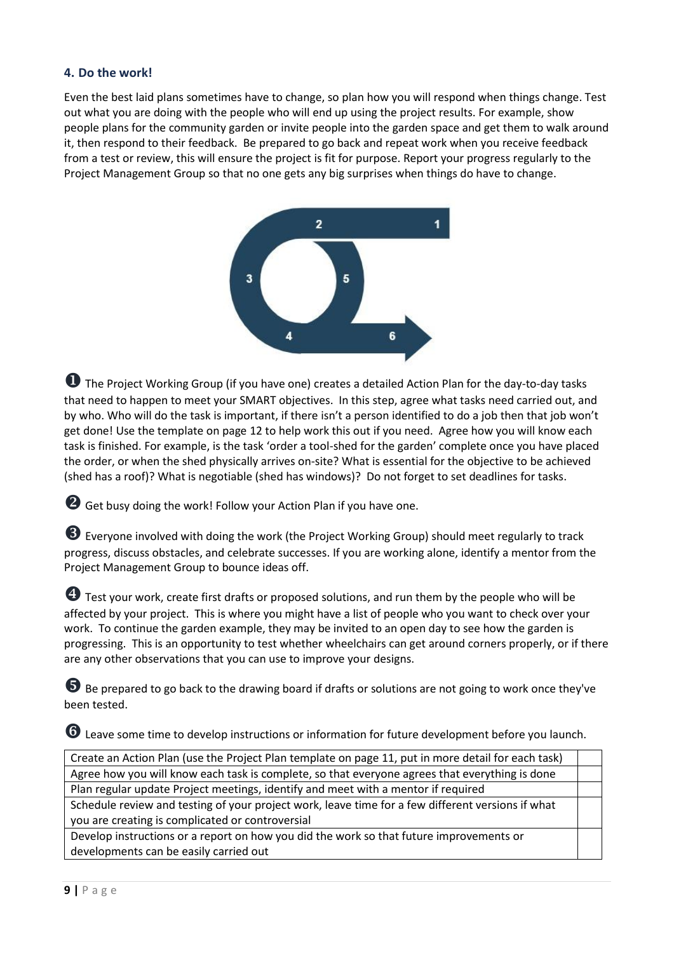#### **4. Do the work!**

Even the best laid plans sometimes have to change, so plan how you will respond when things change. Test out what you are doing with the people who will end up using the project results. For example, show people plans for the community garden or invite people into the garden space and get them to walk around it, then respond to their feedback. Be prepared to go back and repeat work when you receive feedback from a test or review, this will ensure the project is fit for purpose. Report your progress regularly to the Project Management Group so that no one gets any big surprises when things do have to change.



 $\bullet$  The Proiect Working Group (if you have one) creates a detailed Action Plan for the day-to-day tasks that need to happen to meet your SMART objectives. In this step, agree what tasks need carried out, and by who. Who will do the task is important, if there isn't a person identified to do a job then that job won't get done! Use the template on pag[e 12](#page-11-0) to help work this out if you need. Agree how you will know each task is finished. For example, is the task 'order a tool-shed for the garden' complete once you have placed the order, or when the shed physically arrives on-site? What is essential for the objective to be achieved (shed has a roof)? What is negotiable (shed has windows)? Do not forget to set deadlines for tasks.

**2** Get busy doing the work! Follow your Action Plan if you have one.

Everyone involved with doing the work (the Project Working Group) should meet regularly to track progress, discuss obstacles, and celebrate successes. If you are working alone, identify a mentor from the Project Management Group to bounce ideas off.

**4** Test your work, create first drafts or proposed solutions, and run them by the people who will be affected by your project. This is where you might have a list of people who you want to check over your work. To continue the garden example, they may be invited to an open day to see how the garden is progressing. This is an opportunity to test whether wheelchairs can get around corners properly, or if there are any other observations that you can use to improve your designs.

 $\bullet$  Be prepared to go back to the drawing board if drafts or solutions are not going to work once they've been tested.

Leave some time to develop instructions or information for future development before you launch.

Create an Action Plan (use the Project Plan template on page [11,](#page-10-0) put in more detail for each task) Agree how you will know each task is complete, so that everyone agrees that everything is done Plan regular update Project meetings, identify and meet with a mentor if required Schedule review and testing of your project work, leave time for a few different versions if what

you are creating is complicated or controversial

Develop instructions or a report on how you did the work so that future improvements or developments can be easily carried out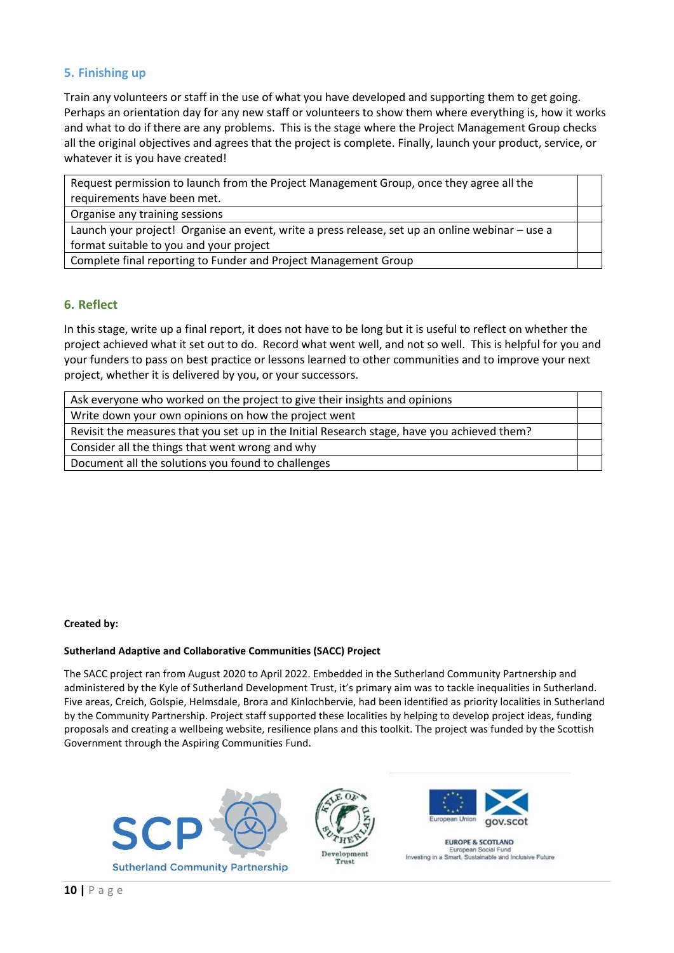#### **5. Finishing up**

Train any volunteers or staff in the use of what you have developed and supporting them to get going. Perhaps an orientation day for any new staff or volunteers to show them where everything is, how it works and what to do if there are any problems. This is the stage where the Project Management Group checks all the original objectives and agrees that the project is complete. Finally, launch your product, service, or whatever it is you have created!

Request permission to launch from the Project Management Group, once they agree all the requirements have been met. Organise any training sessions

Launch your project! Organise an event, write a press release, set up an online webinar – use a format suitable to you and your project

Complete final reporting to Funder and Project Management Group

#### **6. Reflect**

In this stage, write up a final report, it does not have to be long but it is useful to reflect on whether the project achieved what it set out to do. Record what went well, and not so well. This is helpful for you and your funders to pass on best practice or lessons learned to other communities and to improve your next project, whether it is delivered by you, or your successors.

| Ask everyone who worked on the project to give their insights and opinions                  |  |
|---------------------------------------------------------------------------------------------|--|
| Write down your own opinions on how the project went                                        |  |
| Revisit the measures that you set up in the Initial Research stage, have you achieved them? |  |
| Consider all the things that went wrong and why                                             |  |
| Document all the solutions you found to challenges                                          |  |

#### **Created by:**

#### **Sutherland Adaptive and Collaborative Communities (SACC) Project**

The SACC project ran from August 2020 to April 2022. Embedded in the Sutherland Community Partnership and administered by the Kyle of Sutherland Development Trust, it's primary aim was to tackle inequalities in Sutherland. Five areas, Creich, Golspie, Helmsdale, Brora and Kinlochbervie, had been identified as priority localities in Sutherland by the Community Partnership. Project staff supported these localities by helping to develop project ideas, funding proposals and creating a wellbeing website, resilience plans and this toolkit. The project was funded by the Scottish Government through the Aspiring Communities Fund.







**EUROPE & SCOTLAND** Social Investing in a Smart, Sustainable and Inclusive Future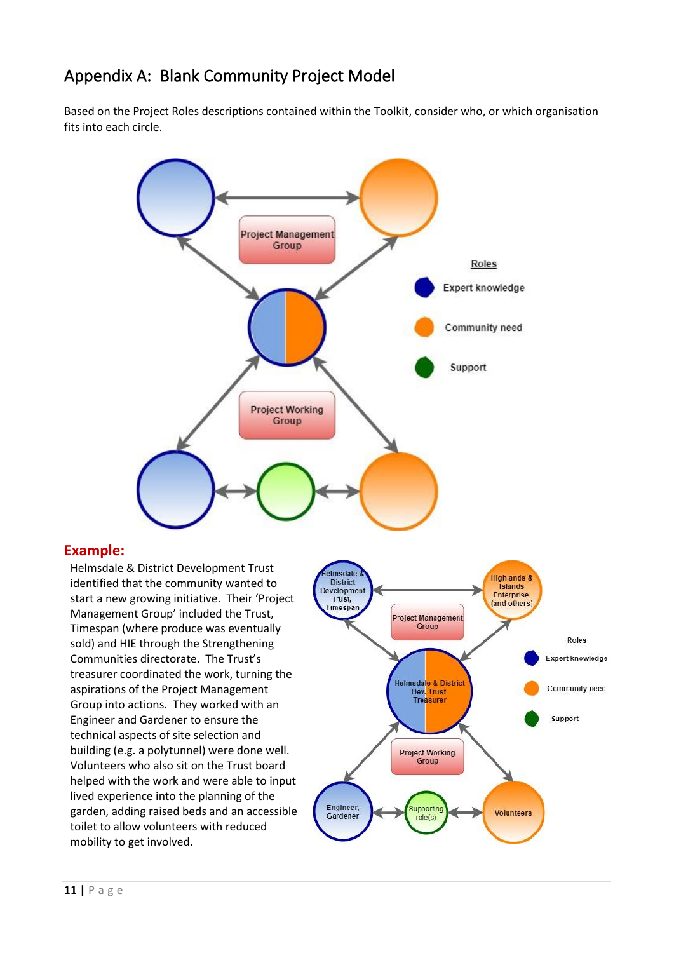# <span id="page-10-0"></span>Appendix A: Blank Community Project Model

Based on the Project Roles descriptions contained within the Toolkit, consider who, or which organisation fits into each circle.



#### **Example:**

Helmsdale & District Development Trust identified that the community wanted to start a new growing initiative. Their 'Project Management Group' included the Trust, Timespan (where produce was eventually sold) and HIE through the Strengthening Communities directorate. The Trust's treasurer coordinated the work, turning the aspirations of the Project Management Group into actions. They worked with an Engineer and Gardener to ensure the technical aspects of site selection and building (e.g. a polytunnel) were done well. Volunteers who also sit on the Trust board helped with the work and were able to input lived experience into the planning of the garden, adding raised beds and an accessible toilet to allow volunteers with reduced mobility to get involved.

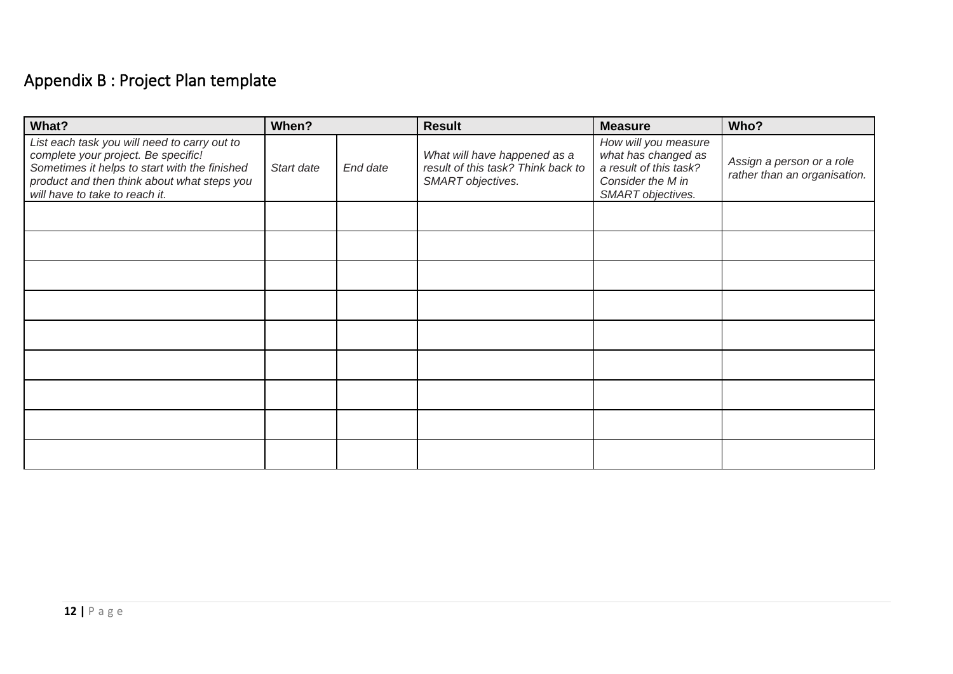# Appendix B : Project Plan template

<span id="page-11-0"></span>

| What?                                                                                                                                                                                                                 | When?      |          | <b>Result</b>                                                                           | <b>Measure</b>                                                                                                  | Who?                                                      |
|-----------------------------------------------------------------------------------------------------------------------------------------------------------------------------------------------------------------------|------------|----------|-----------------------------------------------------------------------------------------|-----------------------------------------------------------------------------------------------------------------|-----------------------------------------------------------|
| List each task you will need to carry out to<br>complete your project. Be specific!<br>Sometimes it helps to start with the finished<br>product and then think about what steps you<br>will have to take to reach it. | Start date | End date | What will have happened as a<br>result of this task? Think back to<br>SMART objectives. | How will you measure<br>what has changed as<br>a result of this task?<br>Consider the M in<br>SMART objectives. | Assign a person or a role<br>rather than an organisation. |
|                                                                                                                                                                                                                       |            |          |                                                                                         |                                                                                                                 |                                                           |
|                                                                                                                                                                                                                       |            |          |                                                                                         |                                                                                                                 |                                                           |
|                                                                                                                                                                                                                       |            |          |                                                                                         |                                                                                                                 |                                                           |
|                                                                                                                                                                                                                       |            |          |                                                                                         |                                                                                                                 |                                                           |
|                                                                                                                                                                                                                       |            |          |                                                                                         |                                                                                                                 |                                                           |
|                                                                                                                                                                                                                       |            |          |                                                                                         |                                                                                                                 |                                                           |
|                                                                                                                                                                                                                       |            |          |                                                                                         |                                                                                                                 |                                                           |
|                                                                                                                                                                                                                       |            |          |                                                                                         |                                                                                                                 |                                                           |
|                                                                                                                                                                                                                       |            |          |                                                                                         |                                                                                                                 |                                                           |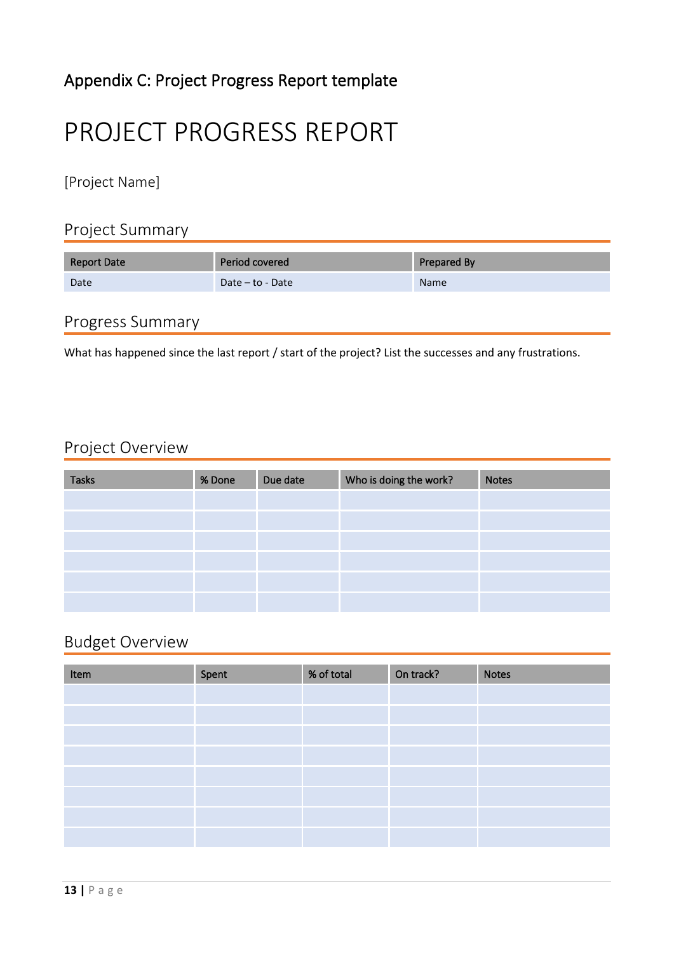# Appendix C: Project Progress Report template

# PROJECT PROGRESS REPORT

[Project Name]

## Project Summary

| <b>Report Date</b> | Period covered   | Prepared By |
|--------------------|------------------|-------------|
| Date               | Date – to - Date | <b>Name</b> |

## Progress Summary

What has happened since the last report / start of the project? List the successes and any frustrations.

## Project Overview

| <b>Tasks</b> | % Done | Due date | Who is doing the work? | <b>Notes</b> |
|--------------|--------|----------|------------------------|--------------|
|              |        |          |                        |              |
|              |        |          |                        |              |
|              |        |          |                        |              |
|              |        |          |                        |              |
|              |        |          |                        |              |
|              |        |          |                        |              |

# Budget Overview

| Item | Spent | % of total | On track? | <b>Notes</b> |
|------|-------|------------|-----------|--------------|
|      |       |            |           |              |
|      |       |            |           |              |
|      |       |            |           |              |
|      |       |            |           |              |
|      |       |            |           |              |
|      |       |            |           |              |
|      |       |            |           |              |
|      |       |            |           |              |